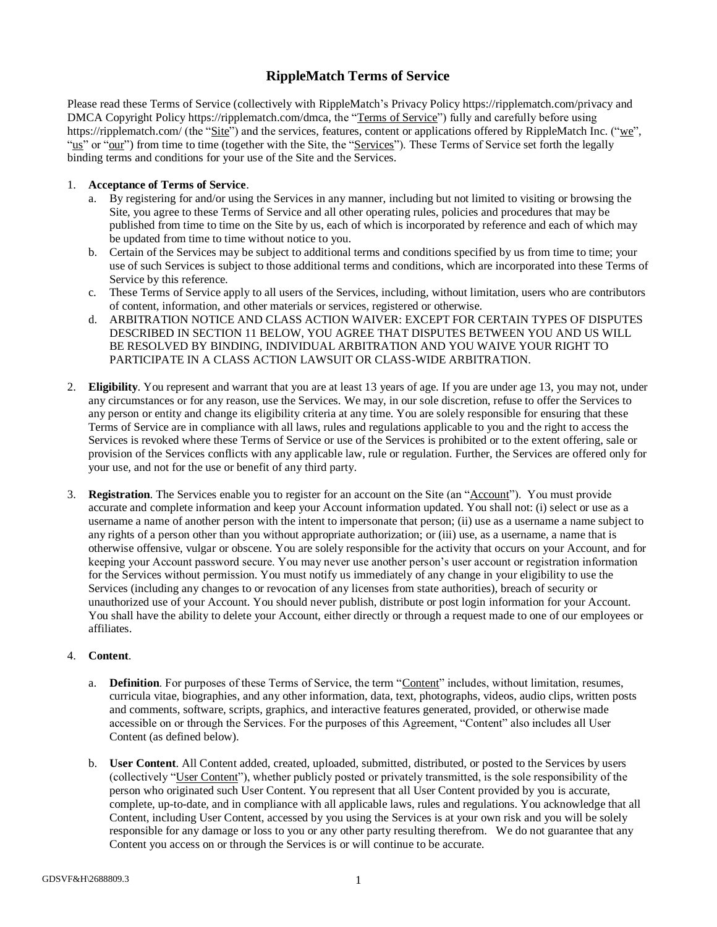# **RippleMatch Terms of Service**

Please read these Terms of Service (collectively with RippleMatch's Privacy Policy https://ripplematch.com/privacy and DMCA Copyright Policy https://ripplematch.com/dmca, the "Terms of Service") fully and carefully before using https://ripplematch.com/ (the "Site") and the services, features, content or applications offered by RippleMatch Inc. ("we", "us" or "our") from time to time (together with the Site, the "Services"). These Terms of Service set forth the legally binding terms and conditions for your use of the Site and the Services.

### 1. **Acceptance of Terms of Service**.

- a. By registering for and/or using the Services in any manner, including but not limited to visiting or browsing the Site, you agree to these Terms of Service and all other operating rules, policies and procedures that may be published from time to time on the Site by us, each of which is incorporated by reference and each of which may be updated from time to time without notice to you.
- b. Certain of the Services may be subject to additional terms and conditions specified by us from time to time; your use of such Services is subject to those additional terms and conditions, which are incorporated into these Terms of Service by this reference.
- c. These Terms of Service apply to all users of the Services, including, without limitation, users who are contributors of content, information, and other materials or services, registered or otherwise.
- d. ARBITRATION NOTICE AND CLASS ACTION WAIVER: EXCEPT FOR CERTAIN TYPES OF DISPUTES DESCRIBED IN SECTION 11 BELOW, YOU AGREE THAT DISPUTES BETWEEN YOU AND US WILL BE RESOLVED BY BINDING, INDIVIDUAL ARBITRATION AND YOU WAIVE YOUR RIGHT TO PARTICIPATE IN A CLASS ACTION LAWSUIT OR CLASS-WIDE ARBITRATION.
- 2. **Eligibility**. You represent and warrant that you are at least 13 years of age. If you are under age 13, you may not, under any circumstances or for any reason, use the Services. We may, in our sole discretion, refuse to offer the Services to any person or entity and change its eligibility criteria at any time. You are solely responsible for ensuring that these Terms of Service are in compliance with all laws, rules and regulations applicable to you and the right to access the Services is revoked where these Terms of Service or use of the Services is prohibited or to the extent offering, sale or provision of the Services conflicts with any applicable law, rule or regulation. Further, the Services are offered only for your use, and not for the use or benefit of any third party.
- 3. **Registration**. The Services enable you to register for an account on the Site (an "Account"). You must provide accurate and complete information and keep your Account information updated. You shall not: (i) select or use as a username a name of another person with the intent to impersonate that person; (ii) use as a username a name subject to any rights of a person other than you without appropriate authorization; or (iii) use, as a username, a name that is otherwise offensive, vulgar or obscene. You are solely responsible for the activity that occurs on your Account, and for keeping your Account password secure. You may never use another person's user account or registration information for the Services without permission. You must notify us immediately of any change in your eligibility to use the Services (including any changes to or revocation of any licenses from state authorities), breach of security or unauthorized use of your Account. You should never publish, distribute or post login information for your Account. You shall have the ability to delete your Account, either directly or through a request made to one of our employees or affiliates.

#### 4. **Content**.

- a. **Definition**. For purposes of these Terms of Service, the term "Content" includes, without limitation, resumes, curricula vitae, biographies, and any other information, data, text, photographs, videos, audio clips, written posts and comments, software, scripts, graphics, and interactive features generated, provided, or otherwise made accessible on or through the Services. For the purposes of this Agreement, "Content" also includes all User Content (as defined below).
- b. **User Content**. All Content added, created, uploaded, submitted, distributed, or posted to the Services by users (collectively "User Content"), whether publicly posted or privately transmitted, is the sole responsibility of the person who originated such User Content. You represent that all User Content provided by you is accurate, complete, up-to-date, and in compliance with all applicable laws, rules and regulations. You acknowledge that all Content, including User Content, accessed by you using the Services is at your own risk and you will be solely responsible for any damage or loss to you or any other party resulting therefrom. We do not guarantee that any Content you access on or through the Services is or will continue to be accurate.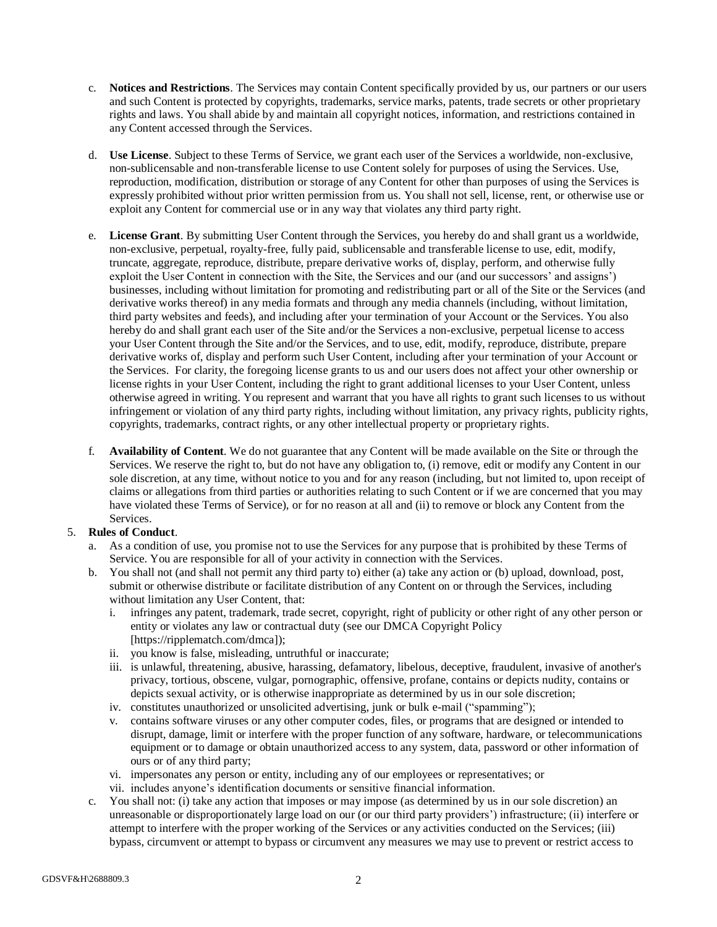- c. **Notices and Restrictions**. The Services may contain Content specifically provided by us, our partners or our users and such Content is protected by copyrights, trademarks, service marks, patents, trade secrets or other proprietary rights and laws. You shall abide by and maintain all copyright notices, information, and restrictions contained in any Content accessed through the Services.
- d. **Use License**. Subject to these Terms of Service, we grant each user of the Services a worldwide, non-exclusive, non-sublicensable and non-transferable license to use Content solely for purposes of using the Services. Use, reproduction, modification, distribution or storage of any Content for other than purposes of using the Services is expressly prohibited without prior written permission from us. You shall not sell, license, rent, or otherwise use or exploit any Content for commercial use or in any way that violates any third party right.
- e. **License Grant**. By submitting User Content through the Services, you hereby do and shall grant us a worldwide, non-exclusive, perpetual, royalty-free, fully paid, sublicensable and transferable license to use, edit, modify, truncate, aggregate, reproduce, distribute, prepare derivative works of, display, perform, and otherwise fully exploit the User Content in connection with the Site, the Services and our (and our successors' and assigns') businesses, including without limitation for promoting and redistributing part or all of the Site or the Services (and derivative works thereof) in any media formats and through any media channels (including, without limitation, third party websites and feeds), and including after your termination of your Account or the Services. You also hereby do and shall grant each user of the Site and/or the Services a non-exclusive, perpetual license to access your User Content through the Site and/or the Services, and to use, edit, modify, reproduce, distribute, prepare derivative works of, display and perform such User Content, including after your termination of your Account or the Services. For clarity, the foregoing license grants to us and our users does not affect your other ownership or license rights in your User Content, including the right to grant additional licenses to your User Content, unless otherwise agreed in writing. You represent and warrant that you have all rights to grant such licenses to us without infringement or violation of any third party rights, including without limitation, any privacy rights, publicity rights, copyrights, trademarks, contract rights, or any other intellectual property or proprietary rights.
- f. **Availability of Content**. We do not guarantee that any Content will be made available on the Site or through the Services. We reserve the right to, but do not have any obligation to, (i) remove, edit or modify any Content in our sole discretion, at any time, without notice to you and for any reason (including, but not limited to, upon receipt of claims or allegations from third parties or authorities relating to such Content or if we are concerned that you may have violated these Terms of Service), or for no reason at all and (ii) to remove or block any Content from the Services.

## 5. **Rules of Conduct**.

- a. As a condition of use, you promise not to use the Services for any purpose that is prohibited by these Terms of Service. You are responsible for all of your activity in connection with the Services.
- b. You shall not (and shall not permit any third party to) either (a) take any action or (b) upload, download, post, submit or otherwise distribute or facilitate distribution of any Content on or through the Services, including without limitation any User Content, that:
	- i. infringes any patent, trademark, trade secret, copyright, right of publicity or other right of any other person or entity or violates any law or contractual duty (see our DMCA Copyright Policy [https://ripplematch.com/dmca]);
	- ii. you know is false, misleading, untruthful or inaccurate;
	- iii. is unlawful, threatening, abusive, harassing, defamatory, libelous, deceptive, fraudulent, invasive of another's privacy, tortious, obscene, vulgar, pornographic, offensive, profane, contains or depicts nudity, contains or depicts sexual activity, or is otherwise inappropriate as determined by us in our sole discretion;
	- iv. constitutes unauthorized or unsolicited advertising, junk or bulk e-mail ("spamming");
	- v. contains software viruses or any other computer codes, files, or programs that are designed or intended to disrupt, damage, limit or interfere with the proper function of any software, hardware, or telecommunications equipment or to damage or obtain unauthorized access to any system, data, password or other information of ours or of any third party;
	- vi. impersonates any person or entity, including any of our employees or representatives; or
	- vii. includes anyone's identification documents or sensitive financial information.
- c. You shall not: (i) take any action that imposes or may impose (as determined by us in our sole discretion) an unreasonable or disproportionately large load on our (or our third party providers') infrastructure; (ii) interfere or attempt to interfere with the proper working of the Services or any activities conducted on the Services; (iii) bypass, circumvent or attempt to bypass or circumvent any measures we may use to prevent or restrict access to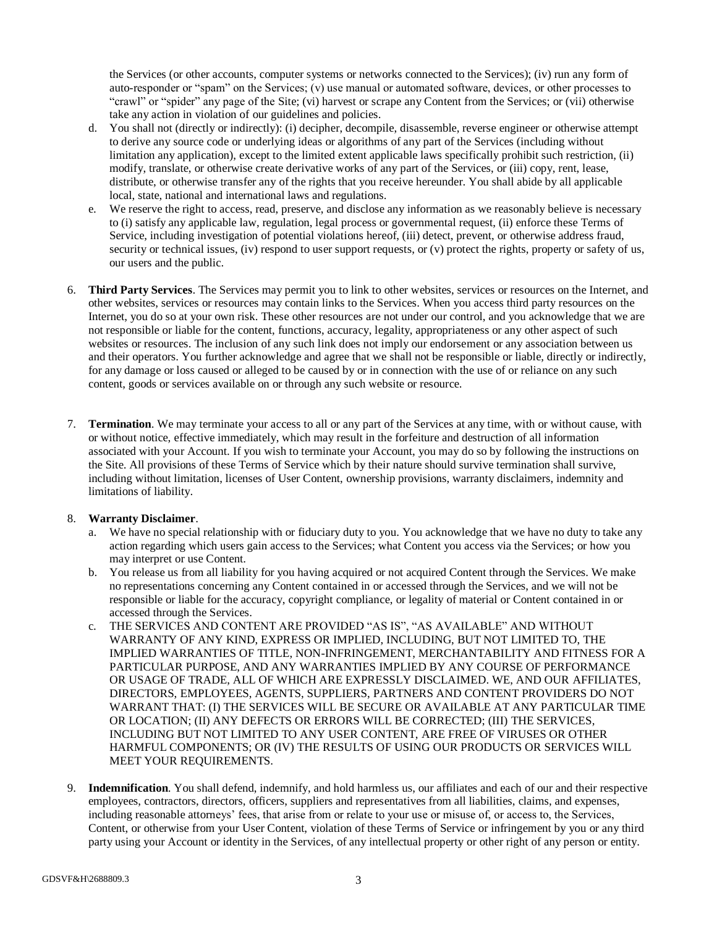the Services (or other accounts, computer systems or networks connected to the Services); (iv) run any form of auto-responder or "spam" on the Services; (v) use manual or automated software, devices, or other processes to "crawl" or "spider" any page of the Site; (vi) harvest or scrape any Content from the Services; or (vii) otherwise take any action in violation of our guidelines and policies.

- d. You shall not (directly or indirectly): (i) decipher, decompile, disassemble, reverse engineer or otherwise attempt to derive any source code or underlying ideas or algorithms of any part of the Services (including without limitation any application), except to the limited extent applicable laws specifically prohibit such restriction, (ii) modify, translate, or otherwise create derivative works of any part of the Services, or (iii) copy, rent, lease, distribute, or otherwise transfer any of the rights that you receive hereunder. You shall abide by all applicable local, state, national and international laws and regulations.
- e. We reserve the right to access, read, preserve, and disclose any information as we reasonably believe is necessary to (i) satisfy any applicable law, regulation, legal process or governmental request, (ii) enforce these Terms of Service, including investigation of potential violations hereof, (iii) detect, prevent, or otherwise address fraud, security or technical issues, (iv) respond to user support requests, or (v) protect the rights, property or safety of us, our users and the public.
- 6. **Third Party Services**. The Services may permit you to link to other websites, services or resources on the Internet, and other websites, services or resources may contain links to the Services. When you access third party resources on the Internet, you do so at your own risk. These other resources are not under our control, and you acknowledge that we are not responsible or liable for the content, functions, accuracy, legality, appropriateness or any other aspect of such websites or resources. The inclusion of any such link does not imply our endorsement or any association between us and their operators. You further acknowledge and agree that we shall not be responsible or liable, directly or indirectly, for any damage or loss caused or alleged to be caused by or in connection with the use of or reliance on any such content, goods or services available on or through any such website or resource.
- 7. **Termination**. We may terminate your access to all or any part of the Services at any time, with or without cause, with or without notice, effective immediately, which may result in the forfeiture and destruction of all information associated with your Account. If you wish to terminate your Account, you may do so by following the instructions on the Site. All provisions of these Terms of Service which by their nature should survive termination shall survive, including without limitation, licenses of User Content, ownership provisions, warranty disclaimers, indemnity and limitations of liability.

## 8. **Warranty Disclaimer**.

- a. We have no special relationship with or fiduciary duty to you. You acknowledge that we have no duty to take any action regarding which users gain access to the Services; what Content you access via the Services; or how you may interpret or use Content.
- b. You release us from all liability for you having acquired or not acquired Content through the Services. We make no representations concerning any Content contained in or accessed through the Services, and we will not be responsible or liable for the accuracy, copyright compliance, or legality of material or Content contained in or accessed through the Services.
- c. THE SERVICES AND CONTENT ARE PROVIDED "AS IS", "AS AVAILABLE" AND WITHOUT WARRANTY OF ANY KIND, EXPRESS OR IMPLIED, INCLUDING, BUT NOT LIMITED TO, THE IMPLIED WARRANTIES OF TITLE, NON-INFRINGEMENT, MERCHANTABILITY AND FITNESS FOR A PARTICULAR PURPOSE, AND ANY WARRANTIES IMPLIED BY ANY COURSE OF PERFORMANCE OR USAGE OF TRADE, ALL OF WHICH ARE EXPRESSLY DISCLAIMED. WE, AND OUR AFFILIATES, DIRECTORS, EMPLOYEES, AGENTS, SUPPLIERS, PARTNERS AND CONTENT PROVIDERS DO NOT WARRANT THAT: (I) THE SERVICES WILL BE SECURE OR AVAILABLE AT ANY PARTICULAR TIME OR LOCATION; (II) ANY DEFECTS OR ERRORS WILL BE CORRECTED; (III) THE SERVICES, INCLUDING BUT NOT LIMITED TO ANY USER CONTENT, ARE FREE OF VIRUSES OR OTHER HARMFUL COMPONENTS; OR (IV) THE RESULTS OF USING OUR PRODUCTS OR SERVICES WILL MEET YOUR REQUIREMENTS.
- 9. **Indemnification**. You shall defend, indemnify, and hold harmless us, our affiliates and each of our and their respective employees, contractors, directors, officers, suppliers and representatives from all liabilities, claims, and expenses, including reasonable attorneys' fees, that arise from or relate to your use or misuse of, or access to, the Services, Content, or otherwise from your User Content, violation of these Terms of Service or infringement by you or any third party using your Account or identity in the Services, of any intellectual property or other right of any person or entity.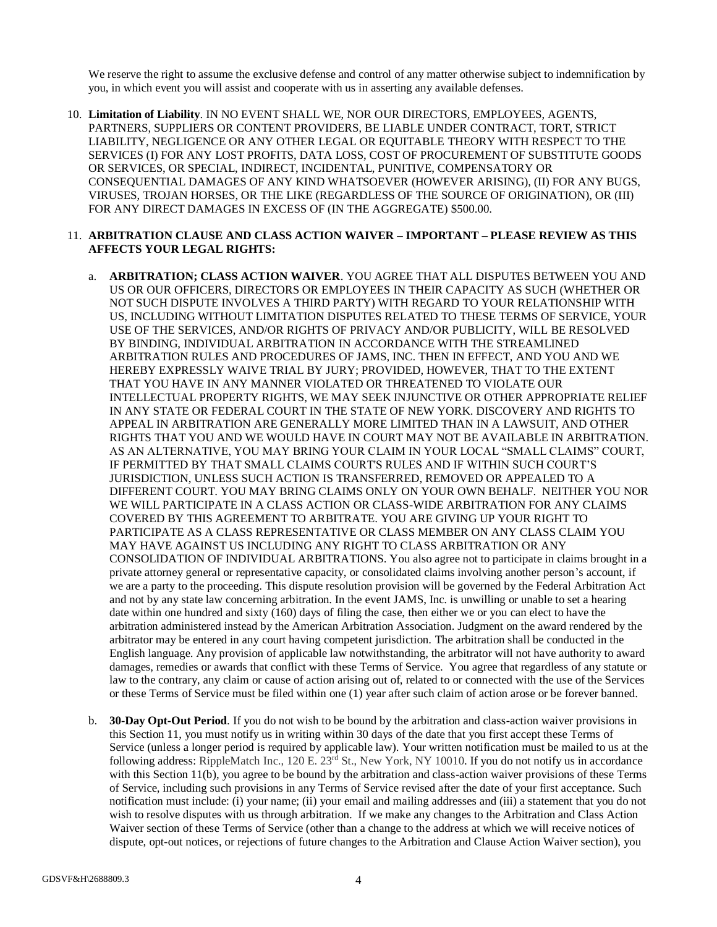We reserve the right to assume the exclusive defense and control of any matter otherwise subject to indemnification by you, in which event you will assist and cooperate with us in asserting any available defenses.

- 10. **Limitation of Liability**. IN NO EVENT SHALL WE, NOR OUR DIRECTORS, EMPLOYEES, AGENTS, PARTNERS, SUPPLIERS OR CONTENT PROVIDERS, BE LIABLE UNDER CONTRACT, TORT, STRICT LIABILITY, NEGLIGENCE OR ANY OTHER LEGAL OR EQUITABLE THEORY WITH RESPECT TO THE SERVICES (I) FOR ANY LOST PROFITS, DATA LOSS, COST OF PROCUREMENT OF SUBSTITUTE GOODS OR SERVICES, OR SPECIAL, INDIRECT, INCIDENTAL, PUNITIVE, COMPENSATORY OR CONSEQUENTIAL DAMAGES OF ANY KIND WHATSOEVER (HOWEVER ARISING), (II) FOR ANY BUGS, VIRUSES, TROJAN HORSES, OR THE LIKE (REGARDLESS OF THE SOURCE OF ORIGINATION), OR (III) FOR ANY DIRECT DAMAGES IN EXCESS OF (IN THE AGGREGATE) \$500.00.
- 11. **ARBITRATION CLAUSE AND CLASS ACTION WAIVER – IMPORTANT – PLEASE REVIEW AS THIS AFFECTS YOUR LEGAL RIGHTS:**
	- a. **ARBITRATION; CLASS ACTION WAIVER**. YOU AGREE THAT ALL DISPUTES BETWEEN YOU AND US OR OUR OFFICERS, DIRECTORS OR EMPLOYEES IN THEIR CAPACITY AS SUCH (WHETHER OR NOT SUCH DISPUTE INVOLVES A THIRD PARTY) WITH REGARD TO YOUR RELATIONSHIP WITH US, INCLUDING WITHOUT LIMITATION DISPUTES RELATED TO THESE TERMS OF SERVICE, YOUR USE OF THE SERVICES, AND/OR RIGHTS OF PRIVACY AND/OR PUBLICITY, WILL BE RESOLVED BY BINDING, INDIVIDUAL ARBITRATION IN ACCORDANCE WITH THE STREAMLINED ARBITRATION RULES AND PROCEDURES OF JAMS, INC. THEN IN EFFECT, AND YOU AND WE HEREBY EXPRESSLY WAIVE TRIAL BY JURY; PROVIDED, HOWEVER, THAT TO THE EXTENT THAT YOU HAVE IN ANY MANNER VIOLATED OR THREATENED TO VIOLATE OUR INTELLECTUAL PROPERTY RIGHTS, WE MAY SEEK INJUNCTIVE OR OTHER APPROPRIATE RELIEF IN ANY STATE OR FEDERAL COURT IN THE STATE OF NEW YORK. DISCOVERY AND RIGHTS TO APPEAL IN ARBITRATION ARE GENERALLY MORE LIMITED THAN IN A LAWSUIT, AND OTHER RIGHTS THAT YOU AND WE WOULD HAVE IN COURT MAY NOT BE AVAILABLE IN ARBITRATION. AS AN ALTERNATIVE, YOU MAY BRING YOUR CLAIM IN YOUR LOCAL "SMALL CLAIMS" COURT, IF PERMITTED BY THAT SMALL CLAIMS COURT'S RULES AND IF WITHIN SUCH COURT'S JURISDICTION, UNLESS SUCH ACTION IS TRANSFERRED, REMOVED OR APPEALED TO A DIFFERENT COURT. YOU MAY BRING CLAIMS ONLY ON YOUR OWN BEHALF. NEITHER YOU NOR WE WILL PARTICIPATE IN A CLASS ACTION OR CLASS-WIDE ARBITRATION FOR ANY CLAIMS COVERED BY THIS AGREEMENT TO ARBITRATE. YOU ARE GIVING UP YOUR RIGHT TO PARTICIPATE AS A CLASS REPRESENTATIVE OR CLASS MEMBER ON ANY CLASS CLAIM YOU MAY HAVE AGAINST US INCLUDING ANY RIGHT TO CLASS ARBITRATION OR ANY CONSOLIDATION OF INDIVIDUAL ARBITRATIONS. You also agree not to participate in claims brought in a private attorney general or representative capacity, or consolidated claims involving another person's account, if we are a party to the proceeding. This dispute resolution provision will be governed by the Federal Arbitration Act and not by any state law concerning arbitration. In the event JAMS, Inc. is unwilling or unable to set a hearing date within one hundred and sixty (160) days of filing the case, then either we or you can elect to have the arbitration administered instead by the American Arbitration Association. Judgment on the award rendered by the arbitrator may be entered in any court having competent jurisdiction. The arbitration shall be conducted in the English language. Any provision of applicable law notwithstanding, the arbitrator will not have authority to award damages, remedies or awards that conflict with these Terms of Service. You agree that regardless of any statute or law to the contrary, any claim or cause of action arising out of, related to or connected with the use of the Services or these Terms of Service must be filed within one (1) year after such claim of action arose or be forever banned.
	- b. **30-Day Opt-Out Period**. If you do not wish to be bound by the arbitration and class-action waiver provisions in this Section 11, you must notify us in writing within 30 days of the date that you first accept these Terms of Service (unless a longer period is required by applicable law). Your written notification must be mailed to us at the following address: RippleMatch Inc., 120 E.  $23<sup>rd</sup>$  St., New York, NY 10010. If you do not notify us in accordance with this Section 11(b), you agree to be bound by the arbitration and class-action waiver provisions of these Terms of Service, including such provisions in any Terms of Service revised after the date of your first acceptance. Such notification must include: (i) your name; (ii) your email and mailing addresses and (iii) a statement that you do not wish to resolve disputes with us through arbitration. If we make any changes to the Arbitration and Class Action Waiver section of these Terms of Service (other than a change to the address at which we will receive notices of dispute, opt-out notices, or rejections of future changes to the Arbitration and Clause Action Waiver section), you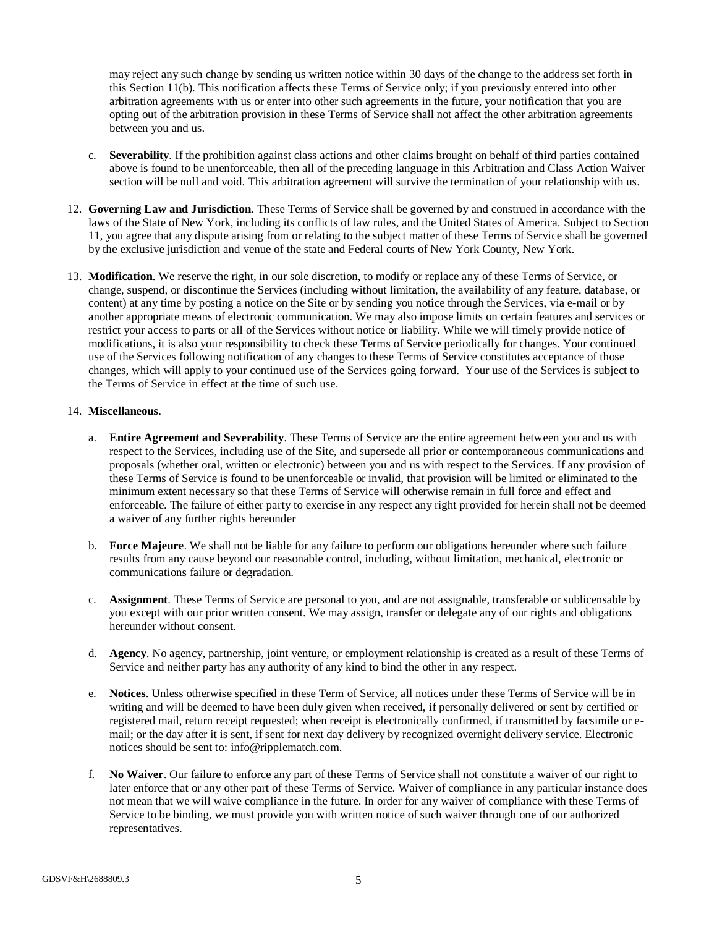may reject any such change by sending us written notice within 30 days of the change to the address set forth in this Section 11(b). This notification affects these Terms of Service only; if you previously entered into other arbitration agreements with us or enter into other such agreements in the future, your notification that you are opting out of the arbitration provision in these Terms of Service shall not affect the other arbitration agreements between you and us.

- c. **Severability**. If the prohibition against class actions and other claims brought on behalf of third parties contained above is found to be unenforceable, then all of the preceding language in this Arbitration and Class Action Waiver section will be null and void. This arbitration agreement will survive the termination of your relationship with us.
- 12. **Governing Law and Jurisdiction**. These Terms of Service shall be governed by and construed in accordance with the laws of the State of New York, including its conflicts of law rules, and the United States of America. Subject to Section 11, you agree that any dispute arising from or relating to the subject matter of these Terms of Service shall be governed by the exclusive jurisdiction and venue of the state and Federal courts of New York County, New York.
- 13. **Modification**. We reserve the right, in our sole discretion, to modify or replace any of these Terms of Service, or change, suspend, or discontinue the Services (including without limitation, the availability of any feature, database, or content) at any time by posting a notice on the Site or by sending you notice through the Services, via e-mail or by another appropriate means of electronic communication. We may also impose limits on certain features and services or restrict your access to parts or all of the Services without notice or liability. While we will timely provide notice of modifications, it is also your responsibility to check these Terms of Service periodically for changes. Your continued use of the Services following notification of any changes to these Terms of Service constitutes acceptance of those changes, which will apply to your continued use of the Services going forward. Your use of the Services is subject to the Terms of Service in effect at the time of such use.

#### 14. **Miscellaneous**.

- a. **Entire Agreement and Severability**. These Terms of Service are the entire agreement between you and us with respect to the Services, including use of the Site, and supersede all prior or contemporaneous communications and proposals (whether oral, written or electronic) between you and us with respect to the Services. If any provision of these Terms of Service is found to be unenforceable or invalid, that provision will be limited or eliminated to the minimum extent necessary so that these Terms of Service will otherwise remain in full force and effect and enforceable. The failure of either party to exercise in any respect any right provided for herein shall not be deemed a waiver of any further rights hereunder
- b. **Force Majeure**. We shall not be liable for any failure to perform our obligations hereunder where such failure results from any cause beyond our reasonable control, including, without limitation, mechanical, electronic or communications failure or degradation.
- c. **Assignment**. These Terms of Service are personal to you, and are not assignable, transferable or sublicensable by you except with our prior written consent. We may assign, transfer or delegate any of our rights and obligations hereunder without consent.
- d. **Agency**. No agency, partnership, joint venture, or employment relationship is created as a result of these Terms of Service and neither party has any authority of any kind to bind the other in any respect.
- e. **Notices**. Unless otherwise specified in these Term of Service, all notices under these Terms of Service will be in writing and will be deemed to have been duly given when received, if personally delivered or sent by certified or registered mail, return receipt requested; when receipt is electronically confirmed, if transmitted by facsimile or email; or the day after it is sent, if sent for next day delivery by recognized overnight delivery service. Electronic notices should be sent to: info@ripplematch.com.
- f. **No Waiver**. Our failure to enforce any part of these Terms of Service shall not constitute a waiver of our right to later enforce that or any other part of these Terms of Service. Waiver of compliance in any particular instance does not mean that we will waive compliance in the future. In order for any waiver of compliance with these Terms of Service to be binding, we must provide you with written notice of such waiver through one of our authorized representatives.